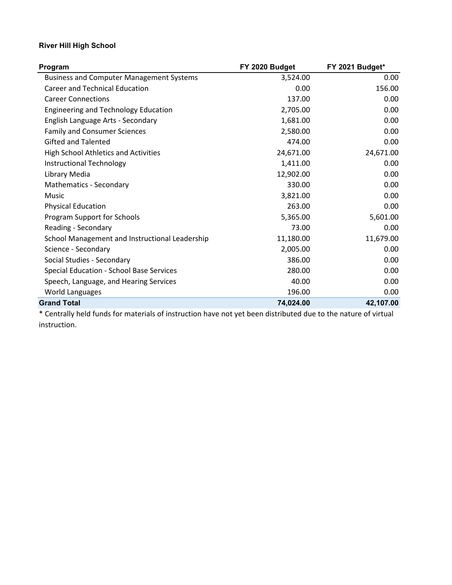## **River Hill High School**

| Program                                         | FY 2020 Budget | FY 2021 Budget* |
|-------------------------------------------------|----------------|-----------------|
| <b>Business and Computer Management Systems</b> | 3,524.00       | 0.00            |
| <b>Career and Technical Education</b>           | 0.00           | 156.00          |
| <b>Career Connections</b>                       | 137.00         | 0.00            |
| <b>Engineering and Technology Education</b>     | 2,705.00       | 0.00            |
| English Language Arts - Secondary               | 1,681.00       | 0.00            |
| <b>Family and Consumer Sciences</b>             | 2,580.00       | 0.00            |
| <b>Gifted and Talented</b>                      | 474.00         | 0.00            |
| <b>High School Athletics and Activities</b>     | 24,671.00      | 24,671.00       |
| <b>Instructional Technology</b>                 | 1,411.00       | 0.00            |
| Library Media                                   | 12,902.00      | 0.00            |
| Mathematics - Secondary                         | 330.00         | 0.00            |
| Music                                           | 3,821.00       | 0.00            |
| <b>Physical Education</b>                       | 263.00         | 0.00            |
| Program Support for Schools                     | 5,365.00       | 5,601.00        |
| Reading - Secondary                             | 73.00          | 0.00            |
| School Management and Instructional Leadership  | 11,180.00      | 11,679.00       |
| Science - Secondary                             | 2,005.00       | 0.00            |
| Social Studies - Secondary                      | 386.00         | 0.00            |
| Special Education - School Base Services        | 280.00         | 0.00            |
| Speech, Language, and Hearing Services          | 40.00          | 0.00            |
| World Languages                                 | 196.00         | 0.00            |
| <b>Grand Total</b>                              | 74,024.00      | 42,107.00       |
|                                                 |                |                 |

\* Centrally held funds for materials of instruction have not yet been distributed due to the nature of virtual instruction.